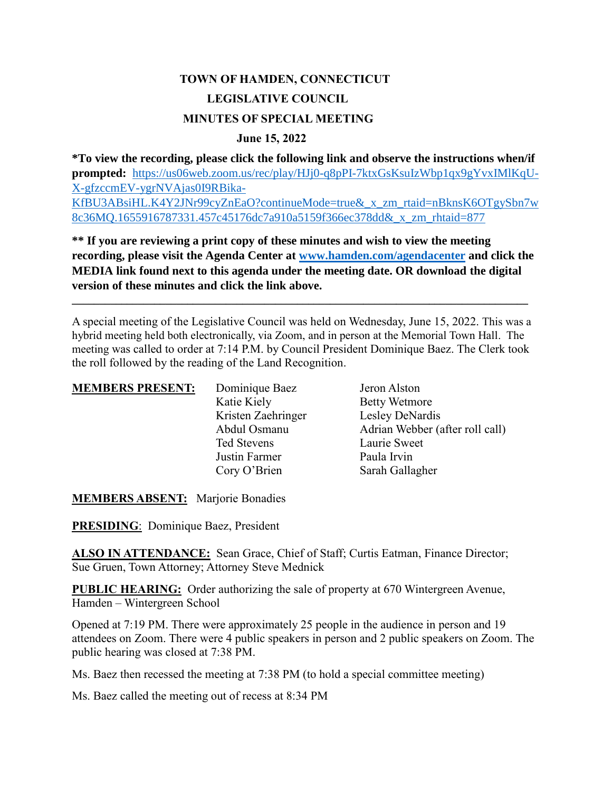# **TOWN OF HAMDEN, CONNECTICUT LEGISLATIVE COUNCIL MINUTES OF SPECIAL MEETING**

#### **June 15, 2022**

**\*To view the recording, please click the following link and observe the instructions when/if prompted:** [https://us06web.zoom.us/rec/play/HJj0-q8pPI-7ktxGsKsuIzWbp1qx9gYvxIMlKqU-](https://us06web.zoom.us/rec/play/HJj0-q8pPI-7ktxGsKsuIzWbp1qx9gYvxIMlKqU-X-gfzccmEV-ygrNVAjas0I9RBika-KfBU3ABsiHL.K4Y2JNr99cyZnEaO?continueMode=true&_x_zm_rtaid=nBknsK6OTgySbn7w8c36MQ.1655916787331.457c45176dc7a910a5159f366ec378dd&_x_zm_rhtaid=877)[X-gfzccmEV-ygrNVAjas0I9RBika-](https://us06web.zoom.us/rec/play/HJj0-q8pPI-7ktxGsKsuIzWbp1qx9gYvxIMlKqU-X-gfzccmEV-ygrNVAjas0I9RBika-KfBU3ABsiHL.K4Y2JNr99cyZnEaO?continueMode=true&_x_zm_rtaid=nBknsK6OTgySbn7w8c36MQ.1655916787331.457c45176dc7a910a5159f366ec378dd&_x_zm_rhtaid=877)[KfBU3ABsiHL.K4Y2JNr99cyZnEaO?continueMode=true&\\_x\\_zm\\_rtaid=nBknsK6OTgySbn7w](https://us06web.zoom.us/rec/play/HJj0-q8pPI-7ktxGsKsuIzWbp1qx9gYvxIMlKqU-X-gfzccmEV-ygrNVAjas0I9RBika-KfBU3ABsiHL.K4Y2JNr99cyZnEaO?continueMode=true&_x_zm_rtaid=nBknsK6OTgySbn7w8c36MQ.1655916787331.457c45176dc7a910a5159f366ec378dd&_x_zm_rhtaid=877)

[8c36MQ.1655916787331.457c45176dc7a910a5159f366ec378dd&\\_x\\_zm\\_rhtaid=877](https://us06web.zoom.us/rec/play/HJj0-q8pPI-7ktxGsKsuIzWbp1qx9gYvxIMlKqU-X-gfzccmEV-ygrNVAjas0I9RBika-KfBU3ABsiHL.K4Y2JNr99cyZnEaO?continueMode=true&_x_zm_rtaid=nBknsK6OTgySbn7w8c36MQ.1655916787331.457c45176dc7a910a5159f366ec378dd&_x_zm_rhtaid=877)

**\*\* If you are reviewing a print copy of these minutes and wish to view the meeting recording, please visit the Agenda Center at [www.hamden.com/agendacenter](http://www.hamden.com/agendacenter) and click the MEDIA link found next to this agenda under the meeting date. OR download the digital version of these minutes and click the link above.**

A special meeting of the Legislative Council was held on Wednesday, June 15, 2022. This was a hybrid meeting held both electronically, via Zoom, and in person at the Memorial Town Hall. The meeting was called to order at 7:14 P.M. by Council President Dominique Baez. The Clerk took the roll followed by the reading of the Land Recognition.

**\_\_\_\_\_\_\_\_\_\_\_\_\_\_\_\_\_\_\_\_\_\_\_\_\_\_\_\_\_\_\_\_\_\_\_\_\_\_\_\_\_\_\_\_\_\_\_\_\_\_\_\_\_\_\_\_\_\_\_\_\_\_\_\_\_\_\_\_\_\_\_\_\_\_\_\_\_\_\_\_\_\_\_**

| <b>MEMBERS PRESENT:</b> | Dominique Baez     | Jeron Alston                    |
|-------------------------|--------------------|---------------------------------|
|                         | Katie Kiely        | <b>Betty Wetmore</b>            |
|                         | Kristen Zaehringer | Lesley DeNardis                 |
|                         | Abdul Osmanu       | Adrian Webber (after roll call) |
|                         | Ted Stevens        | Laurie Sweet                    |
|                         | Justin Farmer      | Paula Irvin                     |
|                         | Cory O'Brien       | Sarah Gallagher                 |

**MEMBERS ABSENT:** Marjorie Bonadies

**PRESIDING**: Dominique Baez, President

ALSO IN ATTENDANCE: Sean Grace, Chief of Staff; Curtis Eatman, Finance Director; Sue Gruen, Town Attorney; Attorney Steve Mednick

**PUBLIC HEARING:** Order authorizing the sale of property at 670 Wintergreen Avenue, Hamden – Wintergreen School

Opened at 7:19 PM. There were approximately 25 people in the audience in person and 19 attendees on Zoom. There were 4 public speakers in person and 2 public speakers on Zoom. The public hearing was closed at 7:38 PM.

Ms. Baez then recessed the meeting at 7:38 PM (to hold a special committee meeting)

Ms. Baez called the meeting out of recess at 8:34 PM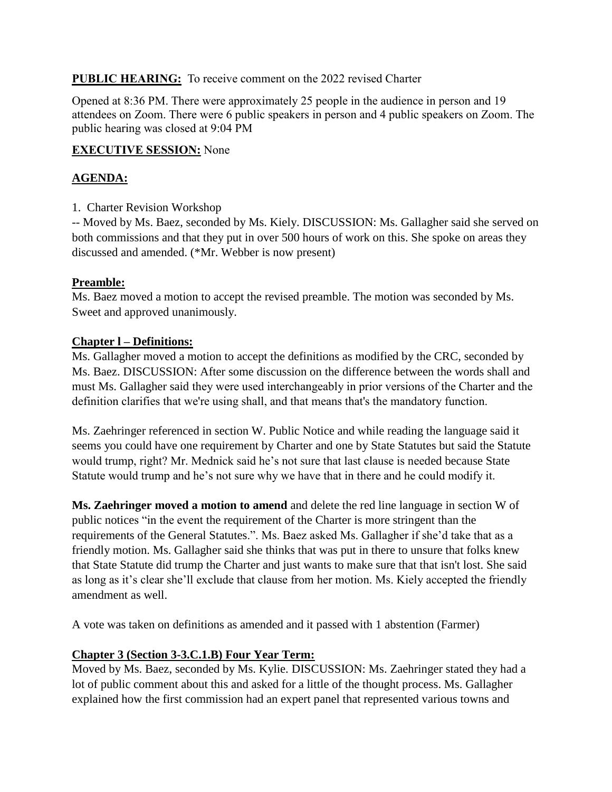### **PUBLIC HEARING:** To receive comment on the 2022 revised Charter

Opened at 8:36 PM. There were approximately 25 people in the audience in person and 19 attendees on Zoom. There were 6 public speakers in person and 4 public speakers on Zoom. The public hearing was closed at 9:04 PM

### **EXECUTIVE SESSION:** None

## **AGENDA:**

1. Charter Revision Workshop

-- Moved by Ms. Baez, seconded by Ms. Kiely. DISCUSSION: Ms. Gallagher said she served on both commissions and that they put in over 500 hours of work on this. She spoke on areas they discussed and amended. (\*Mr. Webber is now present)

## **Preamble:**

Ms. Baez moved a motion to accept the revised preamble. The motion was seconded by Ms. Sweet and approved unanimously.

## **Chapter l – Definitions:**

Ms. Gallagher moved a motion to accept the definitions as modified by the CRC, seconded by Ms. Baez. DISCUSSION: After some discussion on the difference between the words shall and must Ms. Gallagher said they were used interchangeably in prior versions of the Charter and the definition clarifies that we're using shall, and that means that's the mandatory function.

Ms. Zaehringer referenced in section W. Public Notice and while reading the language said it seems you could have one requirement by Charter and one by State Statutes but said the Statute would trump, right? Mr. Mednick said he's not sure that last clause is needed because State Statute would trump and he's not sure why we have that in there and he could modify it.

**Ms. Zaehringer moved a motion to amend** and delete the red line language in section W of public notices "in the event the requirement of the Charter is more stringent than the requirements of the General Statutes.". Ms. Baez asked Ms. Gallagher if she'd take that as a friendly motion. Ms. Gallagher said she thinks that was put in there to unsure that folks knew that State Statute did trump the Charter and just wants to make sure that that isn't lost. She said as long as it's clear she'll exclude that clause from her motion. Ms. Kiely accepted the friendly amendment as well.

A vote was taken on definitions as amended and it passed with 1 abstention (Farmer)

## **Chapter 3 (Section 3-3.C.1.B) Four Year Term:**

Moved by Ms. Baez, seconded by Ms. Kylie. DISCUSSION: Ms. Zaehringer stated they had a lot of public comment about this and asked for a little of the thought process. Ms. Gallagher explained how the first commission had an expert panel that represented various towns and